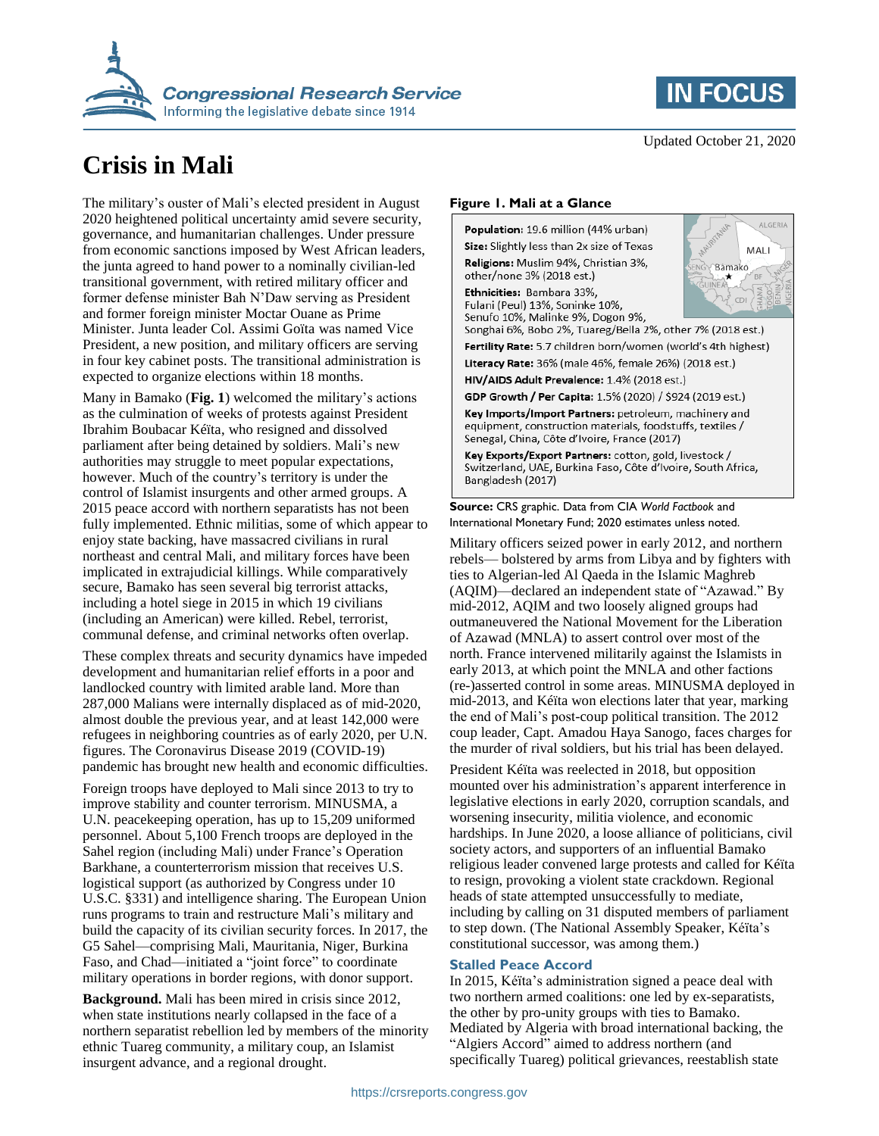



# **Crisis in Mali**

The military's ouster of Mali's elected president in August 2020 heightened political uncertainty amid severe security, governance, and humanitarian challenges. Under pressure from economic sanctions imposed by West African leaders, the junta agreed to hand power to a nominally civilian-led transitional government, with retired military officer and former defense minister Bah N'Daw serving as President and former foreign minister Moctar Ouane as Prime Minister. Junta leader Col. Assimi Goïta was named Vice President, a new position, and military officers are serving in four key cabinet posts. The transitional administration is expected to organize elections within 18 months.

Many in Bamako (**Fig. 1**) welcomed the military's actions as the culmination of weeks of protests against President Ibrahim Boubacar Kéïta, who resigned and dissolved parliament after being detained by soldiers. Mali's new authorities may struggle to meet popular expectations, however. Much of the country's territory is under the control of Islamist insurgents and other armed groups. A 2015 peace accord with northern separatists has not been fully implemented. Ethnic militias, some of which appear to enjoy state backing, have massacred civilians in rural northeast and central Mali, and military forces have been implicated in extrajudicial killings. While comparatively secure, Bamako has seen several big terrorist attacks, including a hotel siege in 2015 in which 19 civilians (including an American) were killed. Rebel, terrorist, communal defense, and criminal networks often overlap.

These complex threats and security dynamics have impeded development and humanitarian relief efforts in a poor and landlocked country with limited arable land. More than 287,000 Malians were internally displaced as of mid-2020, almost double the previous year, and at least 142,000 were refugees in neighboring countries as of early 2020, per U.N. figures. The Coronavirus Disease 2019 (COVID-19) pandemic has brought new health and economic difficulties.

Foreign troops have deployed to Mali since 2013 to try to improve stability and counter terrorism. MINUSMA, a U.N. peacekeeping operation, has up to 15,209 uniformed personnel. About 5,100 French troops are deployed in the Sahel region (including Mali) under France's Operation Barkhane, a counterterrorism mission that receives U.S. logistical support (as authorized by Congress under 10 U.S.C. §331) and intelligence sharing. The European Union runs programs to train and restructure Mali's military and build the capacity of its civilian security forces. In 2017, the G5 Sahel—comprising Mali, Mauritania, Niger, Burkina Faso, and Chad—initiated a "joint force" to coordinate military operations in border regions, with donor support.

**Background.** Mali has been mired in crisis since 2012, when state institutions nearly collapsed in the face of a northern separatist rebellion led by members of the minority ethnic Tuareg community, a military coup, an Islamist insurgent advance, and a regional drought.

#### **Figure 1. Mali at a Glance**

Population: 19.6 million (44% urban) Size: Slightly less than 2x size of Texas Religions: Muslim 94%, Christian 3%, other/none 3% (2018 est.)

Ethnicities: Bambara 33%, Fulani (Peul) 13%, Soninke 10%, Senufo 10%, Malinke 9%, Dogon 9%,



Songhai 6%, Bobo 2%, Tuareg/Bella 2%, other 7% (2018 est.)

Fertility Rate: 5.7 children born/women (world's 4th highest)

Literacy Rate: 36% (male 46%, female 26%) (2018 est.)

HIV/AIDS Adult Prevalence: 1.4% (2018 est.) GDP Growth / Per Capita: 1.5% (2020) / \$924 (2019 est.)

Key Imports/Import Partners: petroleum, machinery and equipment, construction materials, foodstuffs, textiles / Senegal, China, Côte d'Ivoire, France (2017)

Key Exports/Export Partners: cotton, gold, livestock / Switzerland, UAE, Burkina Faso, Côte d'Ivoire, South Africa, Bangladesh (2017)

#### **Source:** CRS graphic. Data from CIA *World Factbook* and International Monetary Fund; 2020 estimates unless noted.

Military officers seized power in early 2012, and northern rebels— bolstered by arms from Libya and by fighters with ties to Algerian-led Al Qaeda in the Islamic Maghreb (AQIM)—declared an independent state of "Azawad." By mid-2012, AQIM and two loosely aligned groups had outmaneuvered the National Movement for the Liberation of Azawad (MNLA) to assert control over most of the north. France intervened militarily against the Islamists in early 2013, at which point the MNLA and other factions (re-)asserted control in some areas. MINUSMA deployed in mid-2013, and Kéïta won elections later that year, marking the end of Mali's post-coup political transition. The 2012 coup leader, Capt. Amadou Haya Sanogo, faces charges for the murder of rival soldiers, but his trial has been delayed.

President Kéïta was reelected in 2018, but opposition mounted over his administration's apparent interference in legislative elections in early 2020, corruption scandals, and worsening insecurity, militia violence, and economic hardships. In June 2020, a loose alliance of politicians, civil society actors, and supporters of an influential Bamako religious leader convened large protests and called for Kéïta to resign, provoking a violent state crackdown. Regional heads of state attempted unsuccessfully to mediate, including by calling on 31 disputed members of parliament to step down. (The National Assembly Speaker, Kéïta's constitutional successor, was among them.)

### **Stalled Peace Accord**

In 2015, Kéïta's administration signed a peace deal with two northern armed coalitions: one led by ex-separatists, the other by pro-unity groups with ties to Bamako. Mediated by Algeria with broad international backing, the "Algiers Accord" aimed to address northern (and specifically Tuareg) political grievances, reestablish state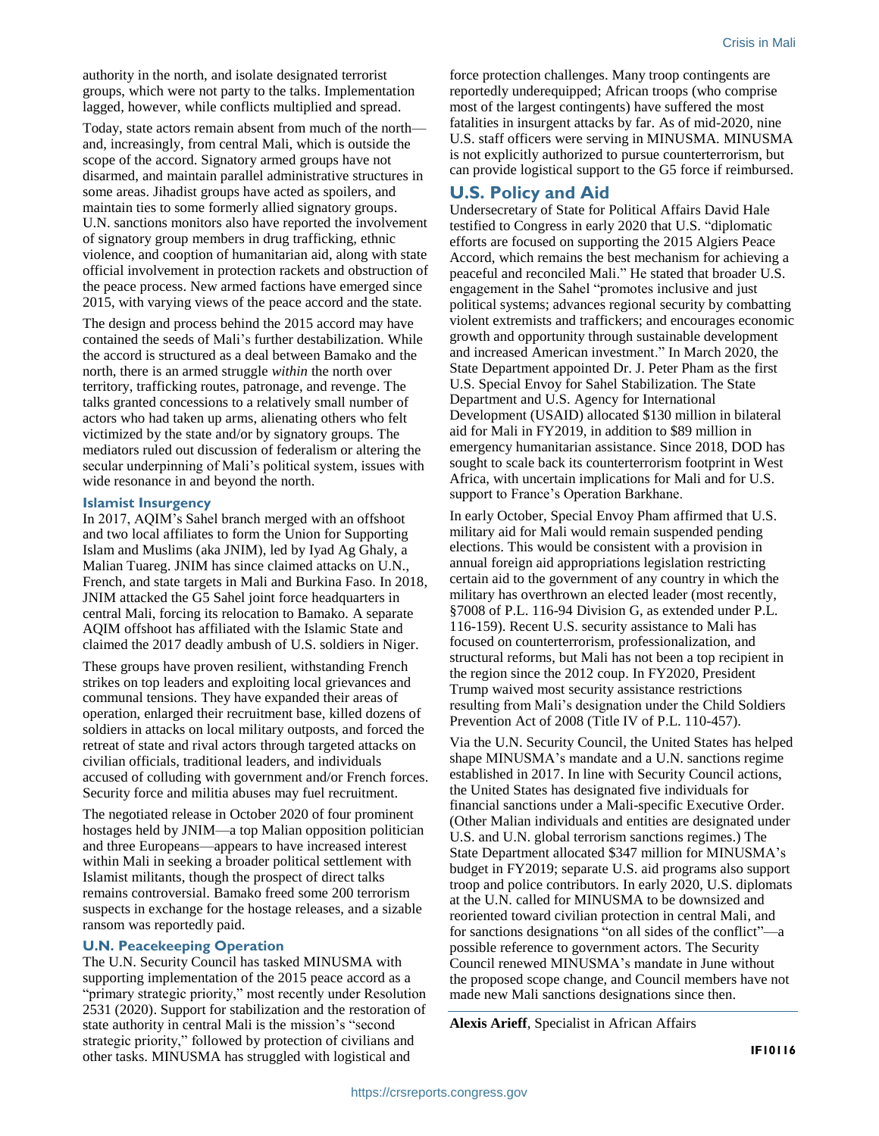authority in the north, and isolate designated terrorist groups, which were not party to the talks. Implementation lagged, however, while conflicts multiplied and spread.

Today, state actors remain absent from much of the north and, increasingly, from central Mali, which is outside the scope of the accord. Signatory armed groups have not disarmed, and maintain parallel administrative structures in some areas. Jihadist groups have acted as spoilers, and maintain ties to some formerly allied signatory groups. U.N. sanctions monitors also have reported the involvement of signatory group members in drug trafficking, ethnic violence, and cooption of humanitarian aid, along with state official involvement in protection rackets and obstruction of the peace process. New armed factions have emerged since 2015, with varying views of the peace accord and the state.

The design and process behind the 2015 accord may have contained the seeds of Mali's further destabilization. While the accord is structured as a deal between Bamako and the north, there is an armed struggle *within* the north over territory, trafficking routes, patronage, and revenge. The talks granted concessions to a relatively small number of actors who had taken up arms, alienating others who felt victimized by the state and/or by signatory groups. The mediators ruled out discussion of federalism or altering the secular underpinning of Mali's political system, issues with wide resonance in and beyond the north.

#### **Islamist Insurgency**

In 2017, AQIM's Sahel branch merged with an offshoot and two local affiliates to form the Union for Supporting Islam and Muslims (aka JNIM), led by Iyad Ag Ghaly, a Malian Tuareg. JNIM has since claimed attacks on U.N., French, and state targets in Mali and Burkina Faso. In 2018, JNIM attacked the G5 Sahel joint force headquarters in central Mali, forcing its relocation to Bamako. A separate AQIM offshoot has affiliated with the Islamic State and claimed the 2017 deadly ambush of U.S. soldiers in Niger.

These groups have proven resilient, withstanding French strikes on top leaders and exploiting local grievances and communal tensions. They have expanded their areas of operation, enlarged their recruitment base, killed dozens of soldiers in attacks on local military outposts, and forced the retreat of state and rival actors through targeted attacks on civilian officials, traditional leaders, and individuals accused of colluding with government and/or French forces. Security force and militia abuses may fuel recruitment.

The negotiated release in October 2020 of four prominent hostages held by JNIM—a top Malian opposition politician and three Europeans—appears to have increased interest within Mali in seeking a broader political settlement with Islamist militants, though the prospect of direct talks remains controversial. Bamako freed some 200 terrorism suspects in exchange for the hostage releases, and a sizable ransom was reportedly paid.

#### **U.N. Peacekeeping Operation**

The U.N. Security Council has tasked MINUSMA with supporting implementation of the 2015 peace accord as a "primary strategic priority," most recently under Resolution 2531 (2020). Support for stabilization and the restoration of state authority in central Mali is the mission's "second strategic priority," followed by protection of civilians and other tasks. MINUSMA has struggled with logistical and

force protection challenges. Many troop contingents are reportedly underequipped; African troops (who comprise most of the largest contingents) have suffered the most fatalities in insurgent attacks by far. As of mid-2020, nine U.S. staff officers were serving in MINUSMA. MINUSMA is not explicitly authorized to pursue counterterrorism, but can provide logistical support to the G5 force if reimbursed.

## **U.S. Policy and Aid**

Undersecretary of State for Political Affairs David Hale testified to Congress in early 2020 that U.S. "diplomatic efforts are focused on supporting the 2015 Algiers Peace Accord, which remains the best mechanism for achieving a peaceful and reconciled Mali." He stated that broader U.S. engagement in the Sahel "promotes inclusive and just political systems; advances regional security by combatting violent extremists and traffickers; and encourages economic growth and opportunity through sustainable development and increased American investment." In March 2020, the State Department appointed Dr. J. Peter Pham as the first U.S. Special Envoy for Sahel Stabilization. The State Department and U.S. Agency for International Development (USAID) allocated \$130 million in bilateral aid for Mali in FY2019, in addition to \$89 million in emergency humanitarian assistance. Since 2018, DOD has sought to scale back its counterterrorism footprint in West Africa, with uncertain implications for Mali and for U.S. support to France's Operation Barkhane.

In early October, Special Envoy Pham affirmed that U.S. military aid for Mali would remain suspended pending elections. This would be consistent with a provision in annual foreign aid appropriations legislation restricting certain aid to the government of any country in which the military has overthrown an elected leader (most recently, §7008 of P.L. 116-94 Division G, as extended under P.L. 116-159). Recent U.S. security assistance to Mali has focused on counterterrorism, professionalization, and structural reforms, but Mali has not been a top recipient in the region since the 2012 coup. In FY2020, President Trump waived most security assistance restrictions resulting from Mali's designation under the Child Soldiers Prevention Act of 2008 (Title IV of P.L. 110-457).

Via the U.N. Security Council, the United States has helped shape MINUSMA's mandate and a U.N. sanctions regime established in 2017. In line with Security Council actions, the United States has designated five individuals for financial sanctions under a Mali-specific Executive Order. (Other Malian individuals and entities are designated under U.S. and U.N. global terrorism sanctions regimes.) The State Department allocated \$347 million for MINUSMA's budget in FY2019; separate U.S. aid programs also support troop and police contributors. In early 2020, U.S. diplomats at the U.N. called for MINUSMA to be downsized and reoriented toward civilian protection in central Mali, and for sanctions designations "on all sides of the conflict"—a possible reference to government actors. The Security Council renewed MINUSMA's mandate in June without the proposed scope change, and Council members have not made new Mali sanctions designations since then.

**Alexis Arieff**, Specialist in African Affairs